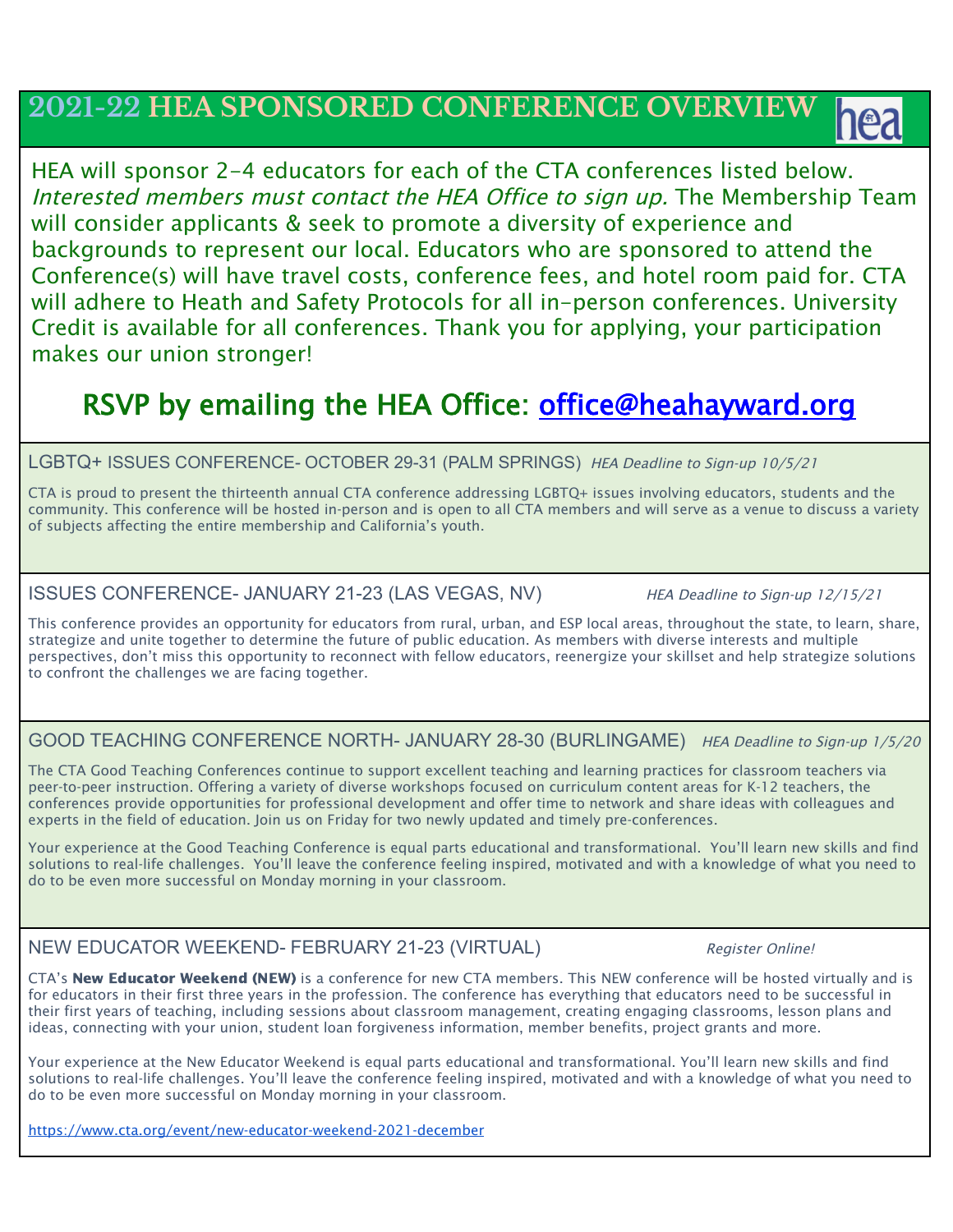# **2021-22 HEA SPONSORED CONFERENCE OVERVIEW**

HEA will sponsor 2-4 educators for each of the CTA conferences listed below. Interested members must contact the HEA Office to sign up. The Membership Team will consider applicants & seek to promote a diversity of experience and backgrounds to represent our local. Educators who are sponsored to attend the Conference(s) will have travel costs, conference fees, and hotel room paid for. CTA will adhere to Heath and Safety Protocols for all in-person conferences. University Credit is available for all conferences. Thank you for applying, your participation makes our union stronger!

# RSVP by emailing the HEA Office: office@heahayward.org

### LGBTQ+ ISSUES CONFERENCE- OCTOBER 29-31 (PALM SPRINGS) HEA Deadline to Sign-up 10/5/21

CTA is proud to present the thirteenth annual CTA conference addressing LGBTQ+ issues involving educators, students and the community. This conference will be hosted in-person and is open to all CTA members and will serve as a venue to discuss a variety of subjects affecting the entire membership and California's youth.

### ISSUES CONFERENCE- JANUARY 21-23 (LAS VEGAS, NV) HEA Deadline to Sign-up 12/15/21

This conference provides an opportunity for educators from rural, urban, and ESP local areas, throughout the state, to learn, share, strategize and unite together to determine the future of public education. As members with diverse interests and multiple perspectives, don't miss this opportunity to reconnect with fellow educators, reenergize your skillset and help strategize solutions to confront the challenges we are facing together.

GOOD TEACHING CONFERENCE NORTH- JANUARY 28-30 (BURLINGAME) HEA Deadline to Sign-up 1/5/20

The CTA Good Teaching Conferences continue to support excellent teaching and learning practices for classroom teachers via peer-to-peer instruction. Offering a variety of diverse workshops focused on curriculum content areas for K-12 teachers, the conferences provide opportunities for professional development and offer time to network and share ideas with colleagues and experts in the field of education. Join us on Friday for two newly updated and timely pre-conferences.

Your experience at the Good Teaching Conference is equal parts educational and transformational. You'll learn new skills and find solutions to real-life challenges. You'll leave the conference feeling inspired, motivated and with a knowledge of what you need to do to be even more successful on Monday morning in your classroom.

## NEW EDUCATOR WEEKEND- FEBRUARY 21-23 (VIRTUAL) Register Online!

CTA's New Educator Weekend (NEW) is a conference for new CTA members. This NEW conference will be hosted virtually and is for educators in their first three years in the profession. The conference has everything that educators need to be successful in their first years of teaching, including sessions about classroom management, creating engaging classrooms, lesson plans and ideas, connecting with your union, student loan forgiveness information, member benefits, project grants and more.

Your experience at the New Educator Weekend is equal parts educational and transformational. You'll learn new skills and find solutions to real-life challenges. You'll leave the conference feeling inspired, motivated and with a knowledge of what you need to do to be even more successful on Monday morning in your classroom.

<https://www.cta.org/event/new-educator-weekend-2021-december>